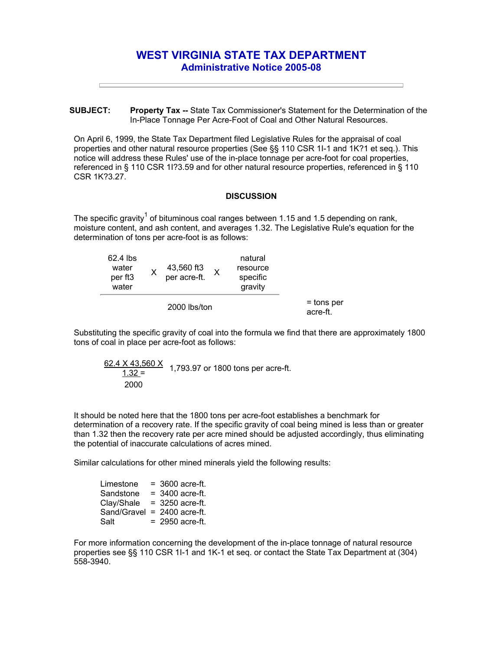## **WEST VIRGINIA STATE TAX DEPARTMENT Administrative Notice 2005-08**

**SUBJECT: Property Tax --** State Tax Commissioner's Statement for the Determination of the In-Place Tonnage Per Acre-Foot of Coal and Other Natural Resources.

On April 6, 1999, the State Tax Department filed Legislative Rules for the appraisal of coal properties and other natural resource properties (See §§ 110 CSR 1I-1 and 1K?1 et seq.). This notice will address these Rules' use of the in-place tonnage per acre-foot for coal properties, referenced in § 110 CSR 1I?3.59 and for other natural resource properties, referenced in § 110 CSR 1K?3.27.

## **DISCUSSION**

The specific gravity<sup>1</sup> of bituminous coal ranges between 1.15 and 1.5 depending on rank, moisture content, and ash content, and averages 1.32. The Legislative Rule's equation for the determination of tons per acre-foot is as follows:

| 62.4 lbs<br>water<br>per ft <sub>3</sub><br>water |  | 43,560 ft3<br>per acre-ft. |  | natural<br>resource<br>specific<br>gravity |                          |
|---------------------------------------------------|--|----------------------------|--|--------------------------------------------|--------------------------|
| 2000 lbs/ton                                      |  |                            |  |                                            | $=$ tons per<br>acre-ft. |

Substituting the specific gravity of coal into the formula we find that there are approximately 1800 tons of coal in place per acre-foot as follows:

$$
\frac{62.4 \times 43,560 \times}{1.32} = 1,793.97 \text{ or } 1800 \text{ tons per acre-fit.}
$$
  
2000

It should be noted here that the 1800 tons per acre-foot establishes a benchmark for determination of a recovery rate. If the specific gravity of coal being mined is less than or greater than 1.32 then the recovery rate per acre mined should be adjusted accordingly, thus eliminating the potential of inaccurate calculations of acres mined.

Similar calculations for other mined minerals yield the following results:

| Limestone   | $=$ 3600 acre-ft. |
|-------------|-------------------|
| Sandstone   | $= 3400$ acre-ft. |
| Clay/Shale  | $=$ 3250 acre-ft. |
| Sand/Gravel | $= 2400$ acre-ft. |
| Salt        | $= 2950$ acre-ft. |

For more information concerning the development of the in-place tonnage of natural resource properties see §§ 110 CSR 1I-1 and 1K-1 et seq. or contact the State Tax Department at (304) 558-3940.